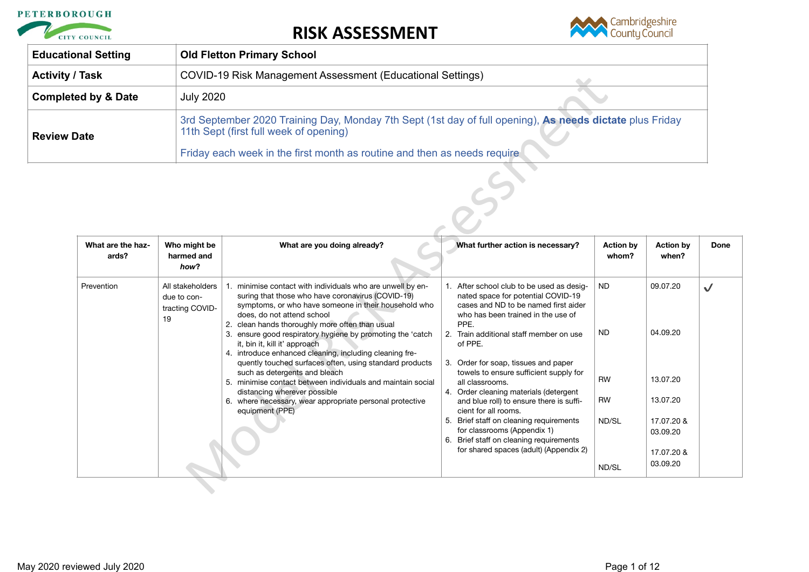



| <b>Educational Setting</b>     | <b>Old Fletton Primary School</b>                                                                                                                  |  |
|--------------------------------|----------------------------------------------------------------------------------------------------------------------------------------------------|--|
| <b>Activity / Task</b>         | COVID-19 Risk Management Assessment (Educational Settings)                                                                                         |  |
| <b>Completed by &amp; Date</b> | <b>July 2020</b>                                                                                                                                   |  |
| <b>Review Date</b>             | 3rd September 2020 Training Day, Monday 7th Sept (1st day of full opening), As needs dictate plus Friday<br>11th Sept (first full week of opening) |  |
|                                | Friday each week in the first month as routine and then as needs require                                                                           |  |

|                                                                                                                                                                                                                                               |                                                    | COVID-19 Risk Management Assessment (Educational Settings)                                                                                                                                                                                               |                                                                                                                                                                         |                           |                           |           |  |
|-----------------------------------------------------------------------------------------------------------------------------------------------------------------------------------------------------------------------------------------------|----------------------------------------------------|----------------------------------------------------------------------------------------------------------------------------------------------------------------------------------------------------------------------------------------------------------|-------------------------------------------------------------------------------------------------------------------------------------------------------------------------|---------------------------|---------------------------|-----------|--|
| ed by & Date<br><b>July 2020</b>                                                                                                                                                                                                              |                                                    |                                                                                                                                                                                                                                                          |                                                                                                                                                                         |                           |                           |           |  |
| 3rd September 2020 Training Day, Monday 7th Sept (1st day of full opening), As needs dictate plus Friday<br>11th Sept (first full week of opening)<br><b>Date</b><br>Friday each week in the first month as routine and then as needs require |                                                    |                                                                                                                                                                                                                                                          |                                                                                                                                                                         |                           |                           |           |  |
|                                                                                                                                                                                                                                               |                                                    |                                                                                                                                                                                                                                                          |                                                                                                                                                                         |                           |                           |           |  |
| What are the haz-<br>ards?                                                                                                                                                                                                                    | Who might be<br>harmed and<br>how?                 | What are you doing already?                                                                                                                                                                                                                              | What further action is necessary?                                                                                                                                       | <b>Action by</b><br>whom? | <b>Action by</b><br>when? | Done      |  |
| Prevention<br>19                                                                                                                                                                                                                              | All stakeholders<br>due to con-<br>tracting COVID- | 1. minimise contact with individuals who are unwell by en-<br>suring that those who have coronavirus (COVID-19)<br>symptoms, or who have someone in their household who<br>does, do not attend school<br>2. clean hands thoroughly more often than usual | 1. After school club to be used as desig-<br>nated space for potential COVID-19<br>cases and ND to be named first aider<br>who has been trained in the use of<br>PPE.   | ND.                       | 09.07.20                  | $\sqrt{}$ |  |
|                                                                                                                                                                                                                                               |                                                    | 3. ensure good respiratory hygiene by promoting the 'catch<br>it, bin it, kill it' approach<br>4. introduce enhanced cleaning, including cleaning fre-<br>quently touched surfaces often, using standard products                                        | 2. Train additional staff member on use<br>of PPE.                                                                                                                      | ND.                       | 04.09.20                  |           |  |
|                                                                                                                                                                                                                                               |                                                    |                                                                                                                                                                                                                                                          | 3. Order for soap, tissues and paper                                                                                                                                    |                           |                           |           |  |
|                                                                                                                                                                                                                                               |                                                    | such as detergents and bleach<br>5. minimise contact between individuals and maintain social<br>distancing wherever possible<br>6. where necessary, wear appropriate personal protective<br>equipment (PPE)                                              | towels to ensure sufficient supply for<br>all classrooms.<br>4. Order cleaning materials (detergent<br>and blue roll) to ensure there is suffi-<br>cient for all rooms. | <b>RW</b><br>RW           | 13.07.20<br>13.07.20      |           |  |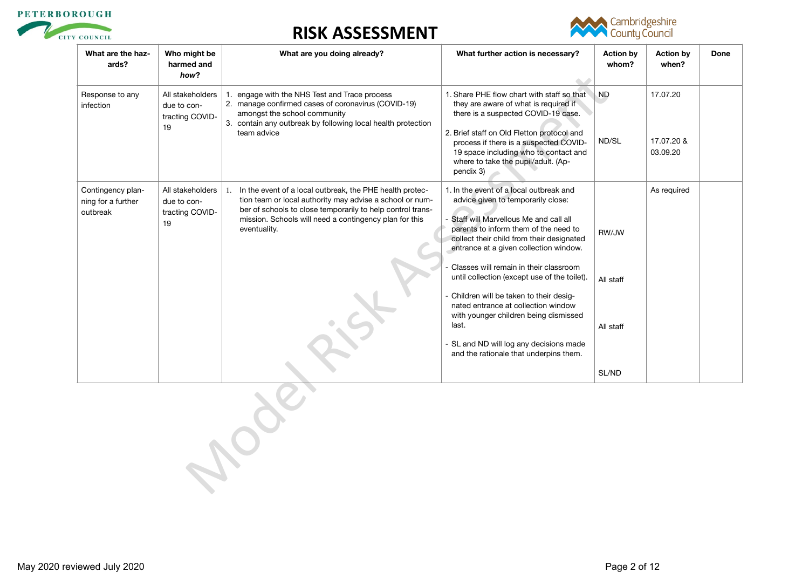



| What are the haz-<br>ards?                          | Who might be<br>harmed and<br>how?                       | What are you doing already?                                                                                                                                                                                                                                        | What further action is necessary?                                                                                                                                                                                                                                                                                                                                                                                                                                                                                                                                            | <b>Action by</b><br>whom?                | <b>Action by</b><br>when?          | Done |
|-----------------------------------------------------|----------------------------------------------------------|--------------------------------------------------------------------------------------------------------------------------------------------------------------------------------------------------------------------------------------------------------------------|------------------------------------------------------------------------------------------------------------------------------------------------------------------------------------------------------------------------------------------------------------------------------------------------------------------------------------------------------------------------------------------------------------------------------------------------------------------------------------------------------------------------------------------------------------------------------|------------------------------------------|------------------------------------|------|
| Response to any<br>infection                        | All stakeholders<br>due to con-<br>tracting COVID-<br>19 | 1. engage with the NHS Test and Trace process<br>2. manage confirmed cases of coronavirus (COVID-19)<br>amongst the school community<br>3. contain any outbreak by following local health protection<br>team advice                                                | 1. Share PHE flow chart with staff so that<br>they are aware of what is required if<br>there is a suspected COVID-19 case.<br>2. Brief staff on Old Fletton protocol and<br>process if there is a suspected COVID-<br>19 space including who to contact and<br>where to take the pupil/adult. (Ap-<br>pendix 3)                                                                                                                                                                                                                                                              | <b>ND</b><br>ND/SL                       | 17.07.20<br>17.07.20 &<br>03.09.20 |      |
| Contingency plan-<br>ning for a further<br>outbreak | All stakeholders<br>due to con-<br>tracting COVID-<br>19 | In the event of a local outbreak, the PHE health protec-<br>1.<br>tion team or local authority may advise a school or num-<br>ber of schools to close temporarily to help control trans-<br>mission. Schools will need a contingency plan for this<br>eventuality. | 1. In the event of a local outbreak and<br>advice given to temporarily close:<br>- Staff will Marvellous Me and call all<br>parents to inform them of the need to<br>collect their child from their designated<br>entrance at a given collection window.<br>Classes will remain in their classroom<br>until collection (except use of the toilet).<br>- Children will be taken to their desig-<br>nated entrance at collection window<br>with younger children being dismissed<br>last.<br>- SL and ND will log any decisions made<br>and the rationale that underpins them. | RW/JW<br>All staff<br>All staff<br>SL/ND | As required                        |      |
|                                                     |                                                          |                                                                                                                                                                                                                                                                    |                                                                                                                                                                                                                                                                                                                                                                                                                                                                                                                                                                              |                                          |                                    |      |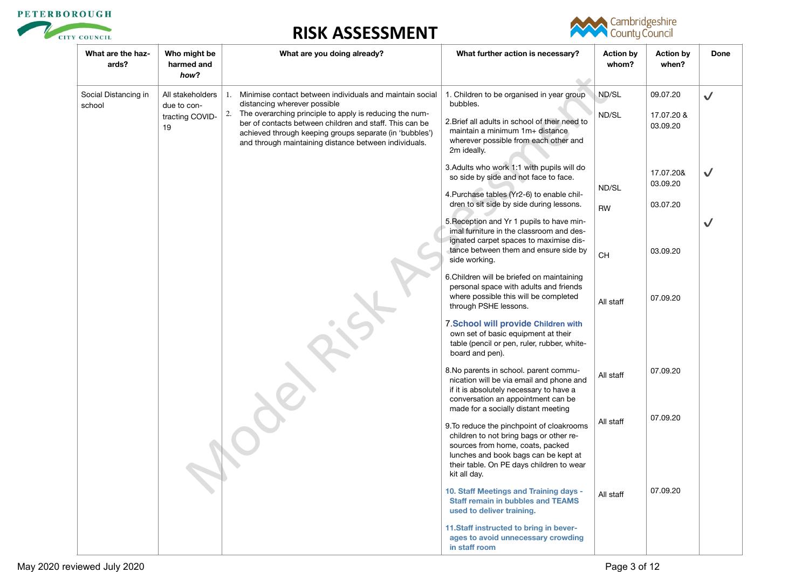



| What are the haz-<br>ards?     | Who might be<br>harmed and<br>how?                       | What are you doing already?                                                                                                                                                                                                                                                                                                                 | What further action is necessary?                                                                                                                                                                                            | <b>Action by</b><br>whom? | <b>Action by</b><br>when?          | Done         |
|--------------------------------|----------------------------------------------------------|---------------------------------------------------------------------------------------------------------------------------------------------------------------------------------------------------------------------------------------------------------------------------------------------------------------------------------------------|------------------------------------------------------------------------------------------------------------------------------------------------------------------------------------------------------------------------------|---------------------------|------------------------------------|--------------|
| Social Distancing in<br>school | All stakeholders<br>due to con-<br>tracting COVID-<br>19 | 1. Minimise contact between individuals and maintain social<br>distancing wherever possible<br>The overarching principle to apply is reducing the num-<br>2.<br>ber of contacts between children and staff. This can be<br>achieved through keeping groups separate (in 'bubbles')<br>and through maintaining distance between individuals. | 1. Children to be organised in year group<br>bubbles.<br>2. Brief all adults in school of their need to<br>maintain a minimum 1m+ distance<br>wherever possible from each other and<br>2m ideally.                           | ND/SL<br>ND/SL            | 09.07.20<br>17.07.20 &<br>03.09.20 | $\checkmark$ |
|                                |                                                          |                                                                                                                                                                                                                                                                                                                                             | 3. Adults who work 1:1 with pupils will do<br>so side by side and not face to face.<br>4. Purchase tables (Yr2-6) to enable chil-<br>dren to sit side by side during lessons.                                                | ND/SL                     | 17.07.20&<br>03.09.20<br>03.07.20  | $\checkmark$ |
|                                |                                                          |                                                                                                                                                                                                                                                                                                                                             | 5. Reception and Yr 1 pupils to have min-<br>imal furniture in the classroom and des-<br>ignated carpet spaces to maximise dis-<br>tance between them and ensure side by                                                     | <b>RW</b>                 | 03.09.20                           | $\checkmark$ |
|                                |                                                          |                                                                                                                                                                                                                                                                                                                                             | side working.<br>6. Children will be briefed on maintaining<br>personal space with adults and friends<br>where possible this will be completed<br>through PSHE lessons.                                                      | CH<br>All staff           | 07.09.20                           |              |
|                                |                                                          |                                                                                                                                                                                                                                                                                                                                             | 7. School will provide Children with<br>own set of basic equipment at their<br>table (pencil or pen, ruler, rubber, white-<br>board and pen).                                                                                |                           |                                    |              |
|                                |                                                          |                                                                                                                                                                                                                                                                                                                                             | 8. No parents in school. parent commu-<br>nication will be via email and phone and<br>if it is absolutely necessary to have a<br>conversation an appointment can be<br>made for a socially distant meeting                   | All staff                 | 07.09.20                           |              |
|                                |                                                          |                                                                                                                                                                                                                                                                                                                                             | 9. To reduce the pinchpoint of cloakrooms<br>children to not bring bags or other re-<br>sources from home, coats, packed<br>lunches and book bags can be kept at<br>their table. On PE days children to wear<br>kit all day. | All staff                 | 07.09.20                           |              |
|                                |                                                          |                                                                                                                                                                                                                                                                                                                                             | 10. Staff Meetings and Training days -<br><b>Staff remain in bubbles and TEAMS</b><br>used to deliver training.                                                                                                              | All staff                 | 07.09.20                           |              |
|                                |                                                          |                                                                                                                                                                                                                                                                                                                                             | 11.Staff instructed to bring in bever-<br>ages to avoid unnecessary crowding<br>in staff room                                                                                                                                |                           |                                    |              |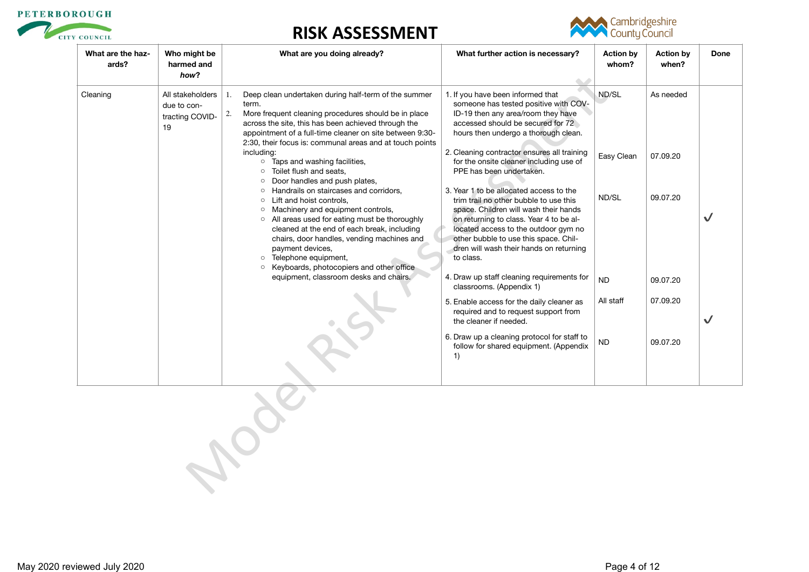



| What are the haz-<br>ards? | Who might be<br>harmed and<br>how?                       | What are you doing already?                                                                                                                                                                                                                                                                                                                                                                           | What further action is necessary?<br>$\triangle$                                                                                                                                                                                                                                                               | <b>Action by</b><br>whom? | <b>Action by</b><br>when? | Done         |
|----------------------------|----------------------------------------------------------|-------------------------------------------------------------------------------------------------------------------------------------------------------------------------------------------------------------------------------------------------------------------------------------------------------------------------------------------------------------------------------------------------------|----------------------------------------------------------------------------------------------------------------------------------------------------------------------------------------------------------------------------------------------------------------------------------------------------------------|---------------------------|---------------------------|--------------|
| Cleaning                   | All stakeholders<br>due to con-<br>tracting COVID-<br>19 | Deep clean undertaken during half-term of the summer<br>1.<br>term.<br>More frequent cleaning procedures should be in place<br>2.<br>across the site, this has been achieved through the<br>appointment of a full-time cleaner on site between 9:30-<br>2:30, their focus is: communal areas and at touch points<br>including:                                                                        | 1. If you have been informed that<br>someone has tested positive with COV-<br>ID-19 then any area/room they have<br>accessed should be secured for 72<br>hours then undergo a thorough clean.<br>2. Cleaning contractor ensures all training                                                                   | ND/SL                     | As needed                 |              |
|                            |                                                          | <b>o</b> Taps and washing facilities,<br>Toilet flush and seats,<br>$\circ$<br>Door handles and push plates,<br>$\circ$                                                                                                                                                                                                                                                                               | for the onsite cleaner including use of<br>PPE has been undertaken.                                                                                                                                                                                                                                            | Easy Clean                | 07.09.20                  |              |
|                            |                                                          | Handrails on staircases and corridors,<br>$\circ$<br>Lift and hoist controls,<br>$\circ$<br>Machinery and equipment controls,<br>$\circ$<br>o All areas used for eating must be thoroughly<br>cleaned at the end of each break, including<br>chairs, door handles, vending machines and<br>payment devices,<br>Telephone equipment,<br>$\circ$<br>Keyboards, photocopiers and other office<br>$\circ$ | 3. Year 1 to be allocated access to the<br>trim trail no other bubble to use this<br>space. Children will wash their hands<br>on returning to class. Year 4 to be al-<br>located access to the outdoor gym no<br>other bubble to use this space. Chil-<br>dren will wash their hands on returning<br>to class. | ND/SL                     | 09.07.20                  | $\checkmark$ |
|                            |                                                          | equipment, classroom desks and chairs.                                                                                                                                                                                                                                                                                                                                                                | 4. Draw up staff cleaning requirements for<br>classrooms. (Appendix 1)                                                                                                                                                                                                                                         | <b>ND</b>                 | 09.07.20                  |              |
|                            |                                                          |                                                                                                                                                                                                                                                                                                                                                                                                       | 5. Enable access for the daily cleaner as<br>required and to request support from<br>the cleaner if needed.                                                                                                                                                                                                    | All staff                 | 07.09.20                  | $\checkmark$ |
|                            |                                                          |                                                                                                                                                                                                                                                                                                                                                                                                       | 6. Draw up a cleaning protocol for staff to<br>follow for shared equipment. (Appendix<br>1)                                                                                                                                                                                                                    | ND                        | 09.07.20                  |              |
|                            |                                                          |                                                                                                                                                                                                                                                                                                                                                                                                       |                                                                                                                                                                                                                                                                                                                |                           |                           |              |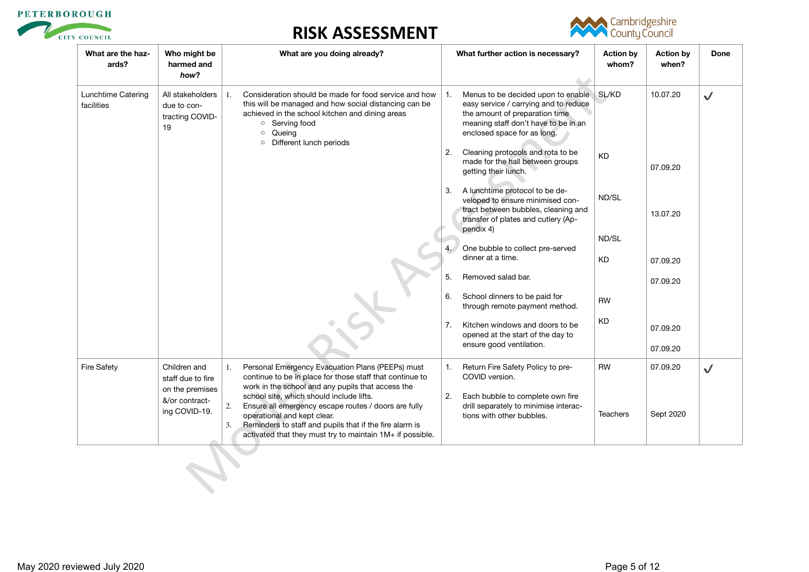



| What are the haz-<br>ards?       | Who might be<br>harmed and<br>how?                       | What are you doing already?                                                                                                                                                                                                                          | What further action is necessary?                                                                                                                                                           | <b>Action by</b><br>whom? | <b>Action by</b><br>when? | Done         |
|----------------------------------|----------------------------------------------------------|------------------------------------------------------------------------------------------------------------------------------------------------------------------------------------------------------------------------------------------------------|---------------------------------------------------------------------------------------------------------------------------------------------------------------------------------------------|---------------------------|---------------------------|--------------|
| Lunchtime Catering<br>facilities | All stakeholders<br>due to con-<br>tracting COVID-<br>19 | Consideration should be made for food service and how<br>1.<br>this will be managed and how social distancing can be<br>achieved in the school kitchen and dining areas<br>○ Serving food<br>Queing<br>$\circ$<br>Different lunch periods<br>$\circ$ | Menus to be decided upon to enable.<br>1.<br>easy service / carrying and to reduce<br>the amount of preparation time<br>meaning staff don't have to be in an<br>enclosed space for as long. | SL/KD                     | 10.07.20                  | $\checkmark$ |
|                                  |                                                          |                                                                                                                                                                                                                                                      | Cleaning protocols and rota to be<br>2.<br>made for the hall between groups<br>getting their lunch.                                                                                         | <b>KD</b>                 | 07.09.20                  |              |
|                                  |                                                          |                                                                                                                                                                                                                                                      | 3. A lunchtime protocol to be de-<br>veloped to ensure minimised con-<br>tract between bubbles, cleaning and<br>transfer of plates and cutlery (Ap-<br>pendix 4)                            | ND/SL                     | 13.07.20                  |              |
|                                  |                                                          |                                                                                                                                                                                                                                                      |                                                                                                                                                                                             | ND/SL                     |                           |              |
|                                  |                                                          |                                                                                                                                                                                                                                                      | One bubble to collect pre-served<br>dinner at a time.                                                                                                                                       | <b>KD</b>                 | 07.09.20                  |              |
|                                  |                                                          |                                                                                                                                                                                                                                                      | Removed salad bar.<br>5.                                                                                                                                                                    |                           | 07.09.20                  |              |
|                                  |                                                          |                                                                                                                                                                                                                                                      | School dinners to be paid for<br>6.<br>through remote payment method.                                                                                                                       | <b>RW</b>                 |                           |              |
|                                  |                                                          |                                                                                                                                                                                                                                                      | 7.<br>Kitchen windows and doors to be<br>opened at the start of the day to<br>ensure good ventilation.                                                                                      | KD                        | 07.09.20<br>07.09.20      |              |
|                                  |                                                          |                                                                                                                                                                                                                                                      |                                                                                                                                                                                             |                           |                           |              |
| <b>Fire Safety</b>               | Children and<br>staff due to fire                        | Personal Emergency Evacuation Plans (PEEPs) must<br>1.<br>continue to be in place for those staff that continue to                                                                                                                                   | Return Fire Safety Policy to pre-<br>1.<br>COVID version.                                                                                                                                   | <b>RW</b>                 | 07.09.20                  | $\checkmark$ |
|                                  | on the premises<br>&/or contract-                        | work in the school and any pupils that access the<br>school site, which should include lifts.                                                                                                                                                        | Each bubble to complete own fire<br>2.                                                                                                                                                      |                           |                           |              |
|                                  | ing COVID-19.                                            | Ensure all emergency escape routes / doors are fully<br>operational and kept clear.<br>Reminders to staff and pupils that if the fire alarm is<br>3.<br>activated that they must try to maintain 1M+ if possible.                                    | drill separately to minimise interac-<br>tions with other bubbles.                                                                                                                          | <b>Teachers</b>           | Sept 2020                 |              |
|                                  |                                                          |                                                                                                                                                                                                                                                      |                                                                                                                                                                                             |                           |                           |              |
|                                  |                                                          |                                                                                                                                                                                                                                                      |                                                                                                                                                                                             |                           |                           |              |
|                                  |                                                          |                                                                                                                                                                                                                                                      |                                                                                                                                                                                             |                           |                           |              |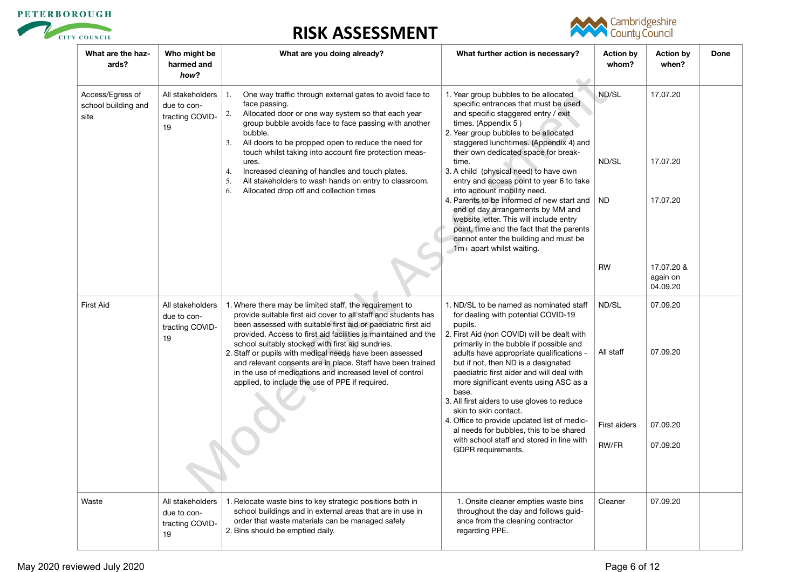



| What are the haz-<br>ards?                      | Who might be<br>harmed and<br>how?                       | What are you doing already?                                                                                                                                                                                                                                                                                                           | What further action is necessary?<br>$\langle \cdot \rangle$                                                                                                                                                                                                           | <b>Action by</b><br>whom? | <b>Action by</b><br>when?          | Done |
|-------------------------------------------------|----------------------------------------------------------|---------------------------------------------------------------------------------------------------------------------------------------------------------------------------------------------------------------------------------------------------------------------------------------------------------------------------------------|------------------------------------------------------------------------------------------------------------------------------------------------------------------------------------------------------------------------------------------------------------------------|---------------------------|------------------------------------|------|
| Access/Egress of<br>school building and<br>site | All stakeholders<br>due to con-<br>tracting COVID-<br>19 | One way traffic through external gates to avoid face to<br>1.<br>face passing.<br>2.<br>Allocated door or one way system so that each year<br>group bubble avoids face to face passing with another<br>bubble.<br>All doors to be propped open to reduce the need for<br>3.<br>touch whilst taking into account fire protection meas- | 1. Year group bubbles to be allocated<br>specific entrances that must be used<br>and specific staggered entry / exit<br>times. (Appendix 5)<br>2. Year group bubbles to be allocated<br>staggered lunchtimes. (Appendix 4) and<br>their own dedicated space for break- | ND/SL                     | 17.07.20                           |      |
|                                                 |                                                          | ures.<br>Increased cleaning of handles and touch plates.<br>4.<br>All stakeholders to wash hands on entry to classroom.<br>5.<br>Allocated drop off and collection times<br>6.                                                                                                                                                        | time.<br>3. A child (physical need) to have own<br>entry and access point to year 6 to take<br>into account mobility need.                                                                                                                                             | ND/SL                     | 17.07.20                           |      |
|                                                 |                                                          |                                                                                                                                                                                                                                                                                                                                       | 4. Parents to be informed of new start and<br>end of day arrangements by MM and<br>website letter. This will include entry<br>point, time and the fact that the parents<br>cannot enter the building and must be<br>1m+ apart whilst waiting.                          | <b>ND</b>                 | 17.07.20                           |      |
|                                                 |                                                          |                                                                                                                                                                                                                                                                                                                                       |                                                                                                                                                                                                                                                                        | <b>RW</b>                 | 17.07.20 &<br>again on<br>04.09.20 |      |
| <b>First Aid</b>                                | All stakeholders<br>due to con-<br>tracting COVID-<br>19 | 1. Where there may be limited staff, the requirement to<br>provide suitable first aid cover to all staff and students has<br>been assessed with suitable first aid or paediatric first aid<br>provided. Access to first aid facilities is maintained and the<br>school suitably stocked with first aid sundries.                      | 1. ND/SL to be named as nominated staff<br>for dealing with potential COVID-19<br>pupils.<br>2. First Aid (non COVID) will be dealt with<br>primarily in the bubble if possible and                                                                                    | ND/SL                     | 07.09.20                           |      |
|                                                 |                                                          | 2. Staff or pupils with medical needs have been assessed<br>and relevant consents are in place. Staff have been trained<br>in the use of medications and increased level of control<br>applied, to include the use of PPE if required.                                                                                                | adults have appropriate qualifications -<br>but if not, then ND is a designated<br>paediatric first aider and will deal with<br>more significant events using ASC as a<br>base.<br>3. All first aiders to use gloves to reduce<br>skin to skin contact.                | All staff                 | 07.09.20                           |      |
|                                                 |                                                          |                                                                                                                                                                                                                                                                                                                                       | 4. Office to provide updated list of medic-<br>al needs for bubbles, this to be shared                                                                                                                                                                                 | First aiders              | 07.09.20                           |      |
|                                                 |                                                          |                                                                                                                                                                                                                                                                                                                                       | with school staff and stored in line with<br>GDPR requirements.                                                                                                                                                                                                        | <b>RW/FR</b>              | 07.09.20                           |      |
| Waste                                           | All stakeholders<br>due to con-<br>tracting COVID-<br>19 | 1. Relocate waste bins to key strategic positions both in<br>school buildings and in external areas that are in use in<br>order that waste materials can be managed safely<br>2. Bins should be emptied daily.                                                                                                                        | 1. Onsite cleaner empties waste bins<br>throughout the day and follows guid-<br>ance from the cleaning contractor<br>regarding PPE.                                                                                                                                    | Cleaner                   | 07.09.20                           |      |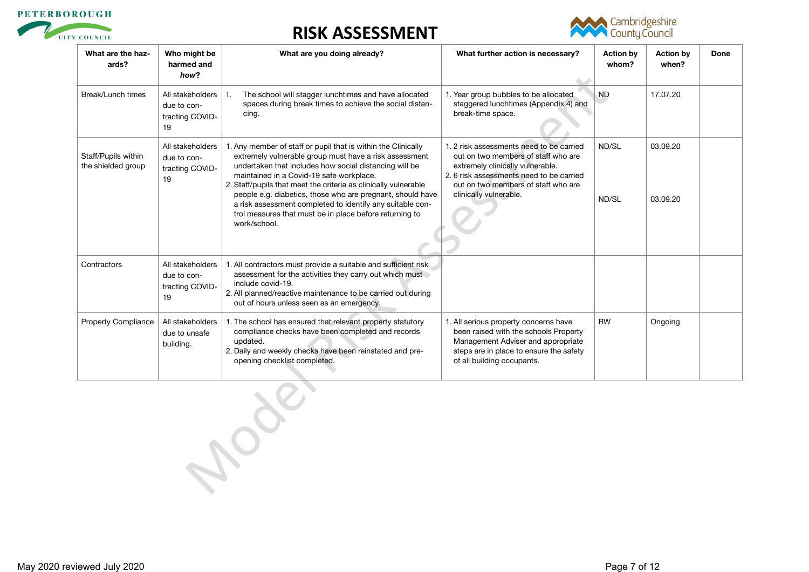



| What are the haz-<br>ards?                | Who might be<br>harmed and<br>how?                       | What are you doing already?                                                                                                                                                                                                                                                                                                                                                                                                                                                                            | What further action is necessary?                                                                                                                                                                                              | <b>Action by</b><br>whom? | <b>Action by</b><br>when? | Done |
|-------------------------------------------|----------------------------------------------------------|--------------------------------------------------------------------------------------------------------------------------------------------------------------------------------------------------------------------------------------------------------------------------------------------------------------------------------------------------------------------------------------------------------------------------------------------------------------------------------------------------------|--------------------------------------------------------------------------------------------------------------------------------------------------------------------------------------------------------------------------------|---------------------------|---------------------------|------|
| Break/Lunch times                         | All stakeholders<br>due to con-<br>tracting COVID-<br>19 | The school will stagger lunchtimes and have allocated<br>1.<br>spaces during break times to achieve the social distan-<br>cing.                                                                                                                                                                                                                                                                                                                                                                        | 1. Year group bubbles to be allocated<br>staggered lunchtimes (Appendix 4) and<br>break-time space.                                                                                                                            | <b>ND</b>                 | 17.07.20                  |      |
| Staff/Pupils within<br>the shielded group | All stakeholders<br>due to con-<br>tracting COVID-<br>19 | 1. Any member of staff or pupil that is within the Clinically<br>extremely vulnerable group must have a risk assessment<br>undertaken that includes how social distancing will be<br>maintained in a Covid-19 safe workplace.<br>2. Staff/pupils that meet the criteria as clinically vulnerable<br>people e.g. diabetics, those who are pregnant, should have<br>a risk assessment completed to identify any suitable con-<br>trol measures that must be in place before returning to<br>work/school. | 1.2 risk assessments need to be carried<br>out on two members of staff who are<br>extremely clinically vulnerable.<br>2.6 risk assessments need to be carried<br>out on two members of staff who are<br>clinically vulnerable. | ND/SL<br>ND/SL            | 03.09.20<br>03.09.20      |      |
| Contractors                               | All stakeholders<br>due to con-<br>tracting COVID-<br>19 | 1. All contractors must provide a suitable and sufficient risk<br>assessment for the activities they carry out which must<br>include covid-19.<br>2. All planned/reactive maintenance to be carried out during<br>out of hours unless seen as an emergency.                                                                                                                                                                                                                                            |                                                                                                                                                                                                                                |                           |                           |      |
| <b>Property Compliance</b>                | All stakeholders<br>due to unsafe<br>building.           | 1. The school has ensured that relevant property statutory<br>compliance checks have been completed and records<br>updated.<br>2. Daily and weekly checks have been reinstated and pre-<br>opening checklist completed.                                                                                                                                                                                                                                                                                | 1. All serious property concerns have<br>been raised with the schools Property<br>Management Adviser and appropriate<br>steps are in place to ensure the safety<br>of all building occupants.                                  | <b>RW</b>                 | Ongoing                   |      |
|                                           |                                                          | $\mathcal{A}_{\mathcal{C}}$                                                                                                                                                                                                                                                                                                                                                                                                                                                                            |                                                                                                                                                                                                                                |                           |                           |      |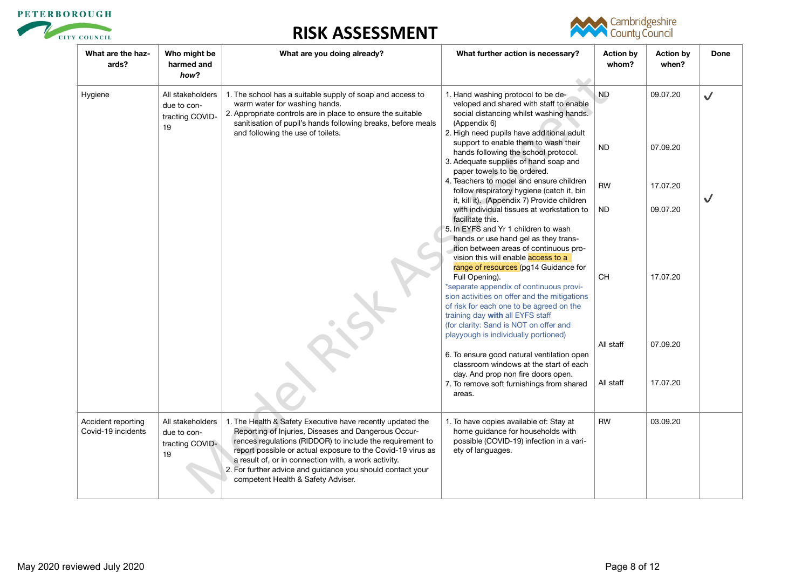



| What are the haz-<br>ards?               | Who might be<br>harmed and<br>how?                       | What are you doing already?                                                                                                                                                                                                                                                                                                                                                                                | What further action is necessary?                                                                                                                                                                                                                                                                                    | <b>Action by</b><br>whom? | <b>Action by</b><br>when? | Done         |
|------------------------------------------|----------------------------------------------------------|------------------------------------------------------------------------------------------------------------------------------------------------------------------------------------------------------------------------------------------------------------------------------------------------------------------------------------------------------------------------------------------------------------|----------------------------------------------------------------------------------------------------------------------------------------------------------------------------------------------------------------------------------------------------------------------------------------------------------------------|---------------------------|---------------------------|--------------|
| Hygiene                                  | All stakeholders<br>due to con-<br>tracting COVID-<br>19 | 1. The school has a suitable supply of soap and access to<br>warm water for washing hands.<br>2. Appropriate controls are in place to ensure the suitable<br>sanitisation of pupil's hands following breaks, before meals<br>and following the use of toilets.                                                                                                                                             | 1. Hand washing protocol to be de-<br>veloped and shared with staff to enable<br>social distancing whilst washing hands.<br>(Appendix 6)<br>2. High need pupils have additional adult                                                                                                                                | <b>ND</b>                 | 09.07.20                  | $\checkmark$ |
|                                          |                                                          |                                                                                                                                                                                                                                                                                                                                                                                                            | support to enable them to wash their<br>hands following the school protocol.<br>3. Adequate supplies of hand soap and<br>paper towels to be ordered.                                                                                                                                                                 | <b>ND</b>                 | 07.09.20                  |              |
|                                          |                                                          |                                                                                                                                                                                                                                                                                                                                                                                                            | 4. Teachers to model and ensure children<br>follow respiratory hygiene (catch it, bin<br>it, kill it). (Appendix 7) Provide children                                                                                                                                                                                 | <b>RW</b>                 | 17.07.20                  |              |
|                                          |                                                          |                                                                                                                                                                                                                                                                                                                                                                                                            | with individual tissues at workstation to<br>facilitate this.<br>5. In EYFS and Yr 1 children to wash                                                                                                                                                                                                                | <b>ND</b>                 | 09.07.20                  |              |
|                                          |                                                          |                                                                                                                                                                                                                                                                                                                                                                                                            | hands or use hand gel as they trans-<br>ition between areas of continuous pro-<br>vision this will enable access to a                                                                                                                                                                                                |                           |                           |              |
|                                          |                                                          |                                                                                                                                                                                                                                                                                                                                                                                                            | range of resources (pg14 Guidance for<br>Full Opening).<br>*separate appendix of continuous provi-<br>sion activities on offer and the mitigations<br>of risk for each one to be agreed on the<br>training day with all EYFS staff<br>(for clarity: Sand is NOT on offer and<br>playyough is individually portioned) | CH                        | 17.07.20                  |              |
|                                          |                                                          |                                                                                                                                                                                                                                                                                                                                                                                                            | 6. To ensure good natural ventilation open<br>classroom windows at the start of each                                                                                                                                                                                                                                 | All staff                 | 07.09.20                  |              |
|                                          |                                                          |                                                                                                                                                                                                                                                                                                                                                                                                            | day. And prop non fire doors open.<br>7. To remove soft furnishings from shared<br>areas.                                                                                                                                                                                                                            | All staff                 | 17.07.20                  |              |
| Accident reporting<br>Covid-19 incidents | All stakeholders<br>due to con-<br>tracting COVID-<br>19 | 1. The Health & Safety Executive have recently updated the<br>Reporting of Injuries, Diseases and Dangerous Occur-<br>rences regulations (RIDDOR) to include the requirement to<br>report possible or actual exposure to the Covid-19 virus as<br>a result of, or in connection with, a work activity.<br>2. For further advice and guidance you should contact your<br>competent Health & Safety Adviser. | 1. To have copies available of: Stay at<br>home guidance for households with<br>possible (COVID-19) infection in a vari-<br>ety of languages.                                                                                                                                                                        | <b>RW</b>                 | 03.09.20                  |              |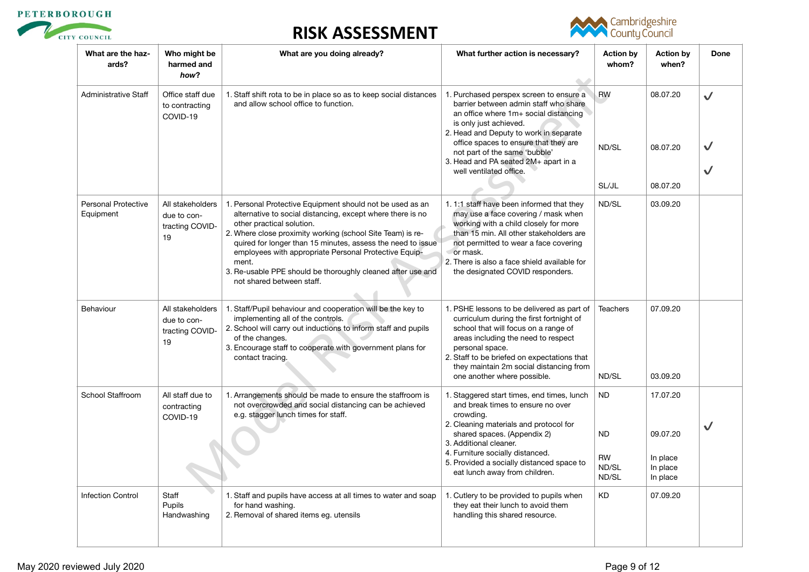



| What are the haz-<br>ards?              | Who might be<br>harmed and<br>how?                       | What are you doing already?                                                                                                                                                                                                                                                                                                                                                                                                                     | What further action is necessary?<br>$\triangle$                                                                                                                                                                                                                                                                                           | <b>Action by</b><br>whom?                             | <b>Action by</b><br>when?                                | Done         |
|-----------------------------------------|----------------------------------------------------------|-------------------------------------------------------------------------------------------------------------------------------------------------------------------------------------------------------------------------------------------------------------------------------------------------------------------------------------------------------------------------------------------------------------------------------------------------|--------------------------------------------------------------------------------------------------------------------------------------------------------------------------------------------------------------------------------------------------------------------------------------------------------------------------------------------|-------------------------------------------------------|----------------------------------------------------------|--------------|
| <b>Administrative Staff</b>             | Office staff due<br>to contracting<br>COVID-19           | 1. Staff shift rota to be in place so as to keep social distances<br>and allow school office to function.                                                                                                                                                                                                                                                                                                                                       | 1. Purchased perspex screen to ensure a<br>barrier between admin staff who share<br>an office where 1m+ social distancing<br>is only just achieved.<br>2. Head and Deputy to work in separate<br>office spaces to ensure that they are<br>not part of the same 'bubble'<br>3. Head and PA seated 2M+ apart in a<br>well ventilated office. | <b>RW</b><br>ND/SL<br>SL/JL                           | 08.07.20<br>08.07.20<br>08.07.20                         | $\checkmark$ |
| <b>Personal Protective</b><br>Equipment | All stakeholders<br>due to con-<br>tracting COVID-<br>19 | 1. Personal Protective Equipment should not be used as an<br>alternative to social distancing, except where there is no<br>other practical solution.<br>2. Where close proximity working (school Site Team) is re-<br>quired for longer than 15 minutes, assess the need to issue<br>employees with appropriate Personal Protective Equip-<br>ment.<br>3. Re-usable PPE should be thoroughly cleaned after use and<br>not shared between staff. | 1.1:1 staff have been informed that they<br>may use a face covering / mask when<br>working with a child closely for more<br>than 15 min. All other stakeholders are<br>not permitted to wear a face covering<br>or mask.<br>2. There is also a face shield available for<br>the designated COVID responders.                               | ND/SL                                                 | 03.09.20                                                 |              |
| Behaviour                               | All stakeholders<br>due to con-<br>tracting COVID-<br>19 | 1. Staff/Pupil behaviour and cooperation will be the key to<br>implementing all of the controls.<br>2. School will carry out inductions to inform staff and pupils<br>of the changes.<br>3. Encourage staff to cooperate with government plans for<br>contact tracing.                                                                                                                                                                          | 1. PSHE lessons to be delivered as part of<br>curriculum during the first fortnight of<br>school that will focus on a range of<br>areas including the need to respect<br>personal space.<br>2. Staff to be briefed on expectations that<br>they maintain 2m social distancing from<br>one another where possible.                          | <b>Teachers</b><br>ND/SL                              | 07.09.20<br>03.09.20                                     |              |
| School Staffroom                        | All staff due to<br>contracting<br>COVID-19              | 1. Arrangements should be made to ensure the staffroom is<br>not overcrowded and social distancing can be achieved<br>e.g. stagger lunch times for staff.                                                                                                                                                                                                                                                                                       | 1. Staggered start times, end times, lunch<br>and break times to ensure no over<br>crowding.<br>2. Cleaning materials and protocol for<br>shared spaces. (Appendix 2)<br>3. Additional cleaner.<br>4. Furniture socially distanced.<br>5. Provided a socially distanced space to<br>eat lunch away from children.                          | <b>ND</b><br><b>ND</b><br><b>RW</b><br>ND/SL<br>ND/SL | 17.07.20<br>09.07.20<br>In place<br>In place<br>In place | $\checkmark$ |
| <b>Infection Control</b>                | Staff<br><b>Pupils</b><br>Handwashing                    | 1. Staff and pupils have access at all times to water and soap<br>for hand washing.<br>2. Removal of shared items eg. utensils                                                                                                                                                                                                                                                                                                                  | 1. Cutlery to be provided to pupils when<br>they eat their lunch to avoid them<br>handling this shared resource.                                                                                                                                                                                                                           | <b>KD</b>                                             | 07.09.20                                                 |              |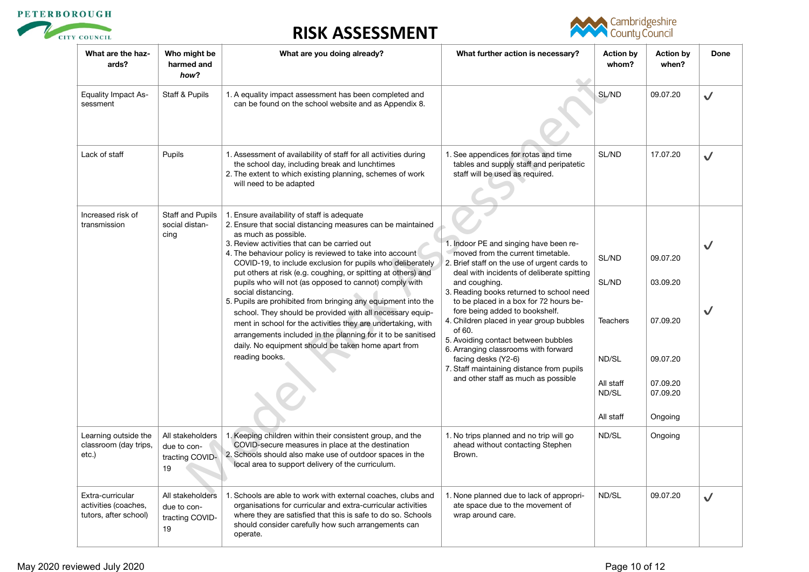





| What are the haz-<br>ards?                                        | Who might be<br>harmed and<br>how?                       | What are you doing already?                                                                                                                                                                                                                                                                                                                                                                                                                                                                                                                                                                                                                                                                                                                                                                          | What further action is necessary?                                                                                                                                                                                                                                                                                                                                                                                                                                                                                                                                  | <b>Action by</b><br>whom?                                                     | <b>Action by</b><br>when?                                                       | Done         |
|-------------------------------------------------------------------|----------------------------------------------------------|------------------------------------------------------------------------------------------------------------------------------------------------------------------------------------------------------------------------------------------------------------------------------------------------------------------------------------------------------------------------------------------------------------------------------------------------------------------------------------------------------------------------------------------------------------------------------------------------------------------------------------------------------------------------------------------------------------------------------------------------------------------------------------------------------|--------------------------------------------------------------------------------------------------------------------------------------------------------------------------------------------------------------------------------------------------------------------------------------------------------------------------------------------------------------------------------------------------------------------------------------------------------------------------------------------------------------------------------------------------------------------|-------------------------------------------------------------------------------|---------------------------------------------------------------------------------|--------------|
| <b>Equality Impact As-</b><br>sessment                            | Staff & Pupils                                           | 1. A equality impact assessment has been completed and<br>can be found on the school website and as Appendix 8.                                                                                                                                                                                                                                                                                                                                                                                                                                                                                                                                                                                                                                                                                      |                                                                                                                                                                                                                                                                                                                                                                                                                                                                                                                                                                    | SL/ND                                                                         | 09.07.20                                                                        | $\checkmark$ |
| Lack of staff                                                     | Pupils                                                   | 1. Assessment of availability of staff for all activities during<br>the school day, including break and lunchtimes<br>2. The extent to which existing planning, schemes of work<br>will need to be adapted                                                                                                                                                                                                                                                                                                                                                                                                                                                                                                                                                                                           | 1. See appendices for rotas and time<br>tables and supply staff and peripatetic<br>staff will be used as required.                                                                                                                                                                                                                                                                                                                                                                                                                                                 | SL/ND                                                                         | 17.07.20                                                                        | $\checkmark$ |
| Increased risk of<br>transmission                                 | Staff and Pupils<br>social distan-<br>cing               | 1. Ensure availability of staff is adequate<br>2. Ensure that social distancing measures can be maintained<br>as much as possible.<br>3. Review activities that can be carried out<br>4. The behaviour policy is reviewed to take into account<br>COVID-19, to include exclusion for pupils who deliberately<br>put others at risk (e.g. coughing, or spitting at others) and<br>pupils who will not (as opposed to cannot) comply with<br>social distancing.<br>5. Pupils are prohibited from bringing any equipment into the<br>school. They should be provided with all necessary equip-<br>ment in school for the activities they are undertaking, with<br>arrangements included in the planning for it to be sanitised<br>daily. No equipment should be taken home apart from<br>reading books. | 1. Indoor PE and singing have been re-<br>moved from the current timetable.<br>2. Brief staff on the use of urgent cards to<br>deal with incidents of deliberate spitting<br>and coughing.<br>3. Reading books returned to school need<br>to be placed in a box for 72 hours be-<br>fore being added to bookshelf.<br>4. Children placed in year group bubbles<br>of 60.<br>5. Avoiding contact between bubbles<br>6. Arranging classrooms with forward<br>facing desks (Y2-6)<br>7. Staff maintaining distance from pupils<br>and other staff as much as possible | SL/ND<br>SL/ND<br><b>Teachers</b><br>ND/SL<br>All staff<br>ND/SL<br>All staff | 09.07.20<br>03.09.20<br>07.09.20<br>09.07.20<br>07.09.20<br>07.09.20<br>Ongoing | $\checkmark$ |
| Learning outside the<br>classroom (day trips,<br>etc.)            | All stakeholders<br>due to con-<br>tracting COVID-<br>19 | 1. Keeping children within their consistent group, and the<br>COVID-secure measures in place at the destination<br>2. Schools should also make use of outdoor spaces in the<br>local area to support delivery of the curriculum.                                                                                                                                                                                                                                                                                                                                                                                                                                                                                                                                                                     | 1. No trips planned and no trip will go<br>ahead without contacting Stephen<br>Brown.                                                                                                                                                                                                                                                                                                                                                                                                                                                                              | ND/SL                                                                         | Ongoing                                                                         |              |
| Extra-curricular<br>activities (coaches,<br>tutors, after school) | All stakeholders<br>due to con-<br>tracting COVID-<br>19 | 1. Schools are able to work with external coaches, clubs and<br>organisations for curricular and extra-curricular activities<br>where they are satisfied that this is safe to do so. Schools<br>should consider carefully how such arrangements can<br>operate.                                                                                                                                                                                                                                                                                                                                                                                                                                                                                                                                      | 1. None planned due to lack of appropri-<br>ate space due to the movement of<br>wrap around care.                                                                                                                                                                                                                                                                                                                                                                                                                                                                  | ND/SL                                                                         | 09.07.20                                                                        | $\checkmark$ |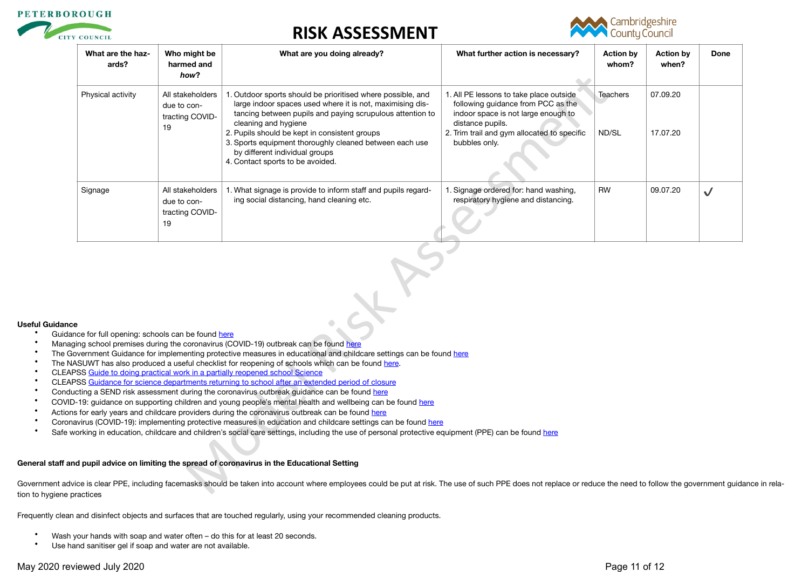



| What are the haz-<br>ards? | Who might be<br>harmed and<br>how?                                                                                                                                                                                                                                                                                                                                                                                                                                                                                                                                                                                                                                                                                                                                                                                                                                                                                                                                                                                                                                                           | What are you doing already?                                                                                                                                                                                                                                                                                                                                                                     | What further action is necessary?                                                                                                                                                                        | <b>Action by</b><br>whom? | <b>Action by</b><br>when? | Done         |  |
|----------------------------|----------------------------------------------------------------------------------------------------------------------------------------------------------------------------------------------------------------------------------------------------------------------------------------------------------------------------------------------------------------------------------------------------------------------------------------------------------------------------------------------------------------------------------------------------------------------------------------------------------------------------------------------------------------------------------------------------------------------------------------------------------------------------------------------------------------------------------------------------------------------------------------------------------------------------------------------------------------------------------------------------------------------------------------------------------------------------------------------|-------------------------------------------------------------------------------------------------------------------------------------------------------------------------------------------------------------------------------------------------------------------------------------------------------------------------------------------------------------------------------------------------|----------------------------------------------------------------------------------------------------------------------------------------------------------------------------------------------------------|---------------------------|---------------------------|--------------|--|
| Physical activity          | All stakeholders<br>due to con-<br>tracting COVID-<br>19                                                                                                                                                                                                                                                                                                                                                                                                                                                                                                                                                                                                                                                                                                                                                                                                                                                                                                                                                                                                                                     | 1. Outdoor sports should be prioritised where possible, and<br>large indoor spaces used where it is not, maximising dis-<br>tancing between pupils and paying scrupulous attention to<br>cleaning and hygiene<br>2. Pupils should be kept in consistent groups<br>3. Sports equipment thoroughly cleaned between each use<br>by different individual groups<br>4. Contact sports to be avoided. | 1. All PE lessons to take place outside<br>following guidance from PCC as the<br>indoor space is not large enough to<br>distance pupils.<br>2. Trim trail and gym allocated to specific<br>bubbles only. | Teachers<br>ND/SL         | 07.09.20<br>17.07.20      |              |  |
| Signage                    | All stakeholders<br>due to con-<br>tracting COVID-<br>19                                                                                                                                                                                                                                                                                                                                                                                                                                                                                                                                                                                                                                                                                                                                                                                                                                                                                                                                                                                                                                     | 1. What signage is provide to inform staff and pupils regard-<br>ing social distancing, hand cleaning etc.                                                                                                                                                                                                                                                                                      | 1. Signage ordered for: hand washing,<br>respiratory hygiene and distancing.                                                                                                                             | <b>RW</b>                 | 09.07.20                  | $\checkmark$ |  |
|                            | ce for full opening: schools can be found here<br>ing school premises during the coronavirus (COVID-19) outbreak can be found here<br>vernment Guidance for implementing protective measures in educational and childcare settings can be found here<br>SUWT has also produced a useful checklist for reopening of schools which can be found here.<br>SS Guide to doing practical work in a partially reopened school Science<br>SS Guidance for science departments returning to school after an extended period of closure<br>cting a SEND risk assessment during the coronavirus outbreak guidance can be found here<br>19: guidance on supporting children and young people's mental health and wellbeing can be found here<br>for early years and childcare providers during the coronavirus outbreak can be found here<br>ivirus (COVID-19): implementing protective measures in education and childcare settings can be found here<br>orking in education, childcare and children's social care settings, including the use of personal protective equipment (PPE) can be found here |                                                                                                                                                                                                                                                                                                                                                                                                 |                                                                                                                                                                                                          |                           |                           |              |  |
|                            |                                                                                                                                                                                                                                                                                                                                                                                                                                                                                                                                                                                                                                                                                                                                                                                                                                                                                                                                                                                                                                                                                              | d pupil advice on limiting the spread of coronavirus in the Educational Setting                                                                                                                                                                                                                                                                                                                 |                                                                                                                                                                                                          |                           |                           |              |  |
|                            |                                                                                                                                                                                                                                                                                                                                                                                                                                                                                                                                                                                                                                                                                                                                                                                                                                                                                                                                                                                                                                                                                              | ce is clear PPE, including facemasks should be taken into account where employees could be put at risk. The use of such PPE does not replace or reduce the need to follow the government guid                                                                                                                                                                                                   |                                                                                                                                                                                                          |                           |                           |              |  |

#### **Useful Guidance**

- Guidance for full opening: schools can be found here
- Managing school premises during the coronavirus (COVID-19) outbreak can be found here
- The Government Guidance for implementing protective measures in educational and childcare settings can be found here
- The NASUWT has also produced a useful checklist for reopening of schools which can be found here.
- CLEAPSS [Guide to doing practical work in a partially reopened school Science](https://public.huddle.com/a/lrVPERK/index.html)
- CLEAPSS [Guidance for science departments returning to school after an extended period of closure](https://public.huddle.com/a/VdRjYeV/index.html)
- Conducting a SEND risk assessment during the coronavirus outbreak guidance can be found here
- COVID-19: quidance on supporting children and young people's mental health and wellbeing can be found here
- Actions for early years and childcare providers during the coronavirus outbreak can be found here
- Coronavirus (COVID-19): implementing protective measures in education and childcare settings can be found here
- Safe working in education, childcare and children's social care settings, including the use of personal protective equipment (PPE) can be found here

#### **General staff and pupil advice on limiting the spread of coronavirus in the Educational Setting**

Government advice is clear PPE, including facemasks should be taken into account where employees could be put at risk. The use of such PPE does not replace or reduce the need to follow the government quidance in relation to hygiene practices

Frequently clean and disinfect objects and surfaces that are touched regularly, using your recommended cleaning products.

- Wash your hands with soap and water often do this for at least 20 seconds.<br>• I lse hand sanitiser gel if soap and water are not available
- Use hand sanitiser gel if soap and water are not available.